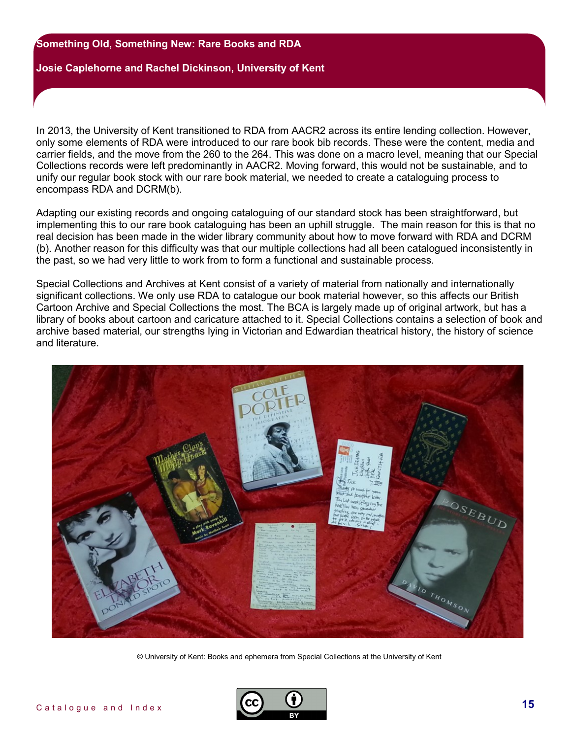## **Josie Caplehorne and Rachel Dickinson, University of Kent**

In 2013, the University of Kent transitioned to RDA from AACR2 across its entire lending collection. However, only some elements of RDA were introduced to our rare book bib records. These were the content, media and carrier fields, and the move from the 260 to the 264. This was done on a macro level, meaning that our Special Collections records were left predominantly in AACR2. Moving forward, this would not be sustainable, and to unify our regular book stock with our rare book material, we needed to create a cataloguing process to encompass RDA and DCRM(b).

Adapting our existing records and ongoing cataloguing of our standard stock has been straightforward, but implementing this to our rare book cataloguing has been an uphill struggle. The main reason for this is that no real decision has been made in the wider library community about how to move forward with RDA and DCRM (b). Another reason for this difficulty was that our multiple collections had all been catalogued inconsistently in the past, so we had very little to work from to form a functional and sustainable process.

Special Collections and Archives at Kent consist of a variety of material from nationally and internationally significant collections. We only use RDA to catalogue our book material however, so this affects our British Cartoon Archive and Special Collections the most. The BCA is largely made up of original artwork, but has a library of books about cartoon and caricature attached to it. Special Collections contains a selection of book and archive based material, our strengths lying in Victorian and Edwardian theatrical history, the history of science and literature.



© University of Kent: Books and ephemera from Special Collections at the University of Kent

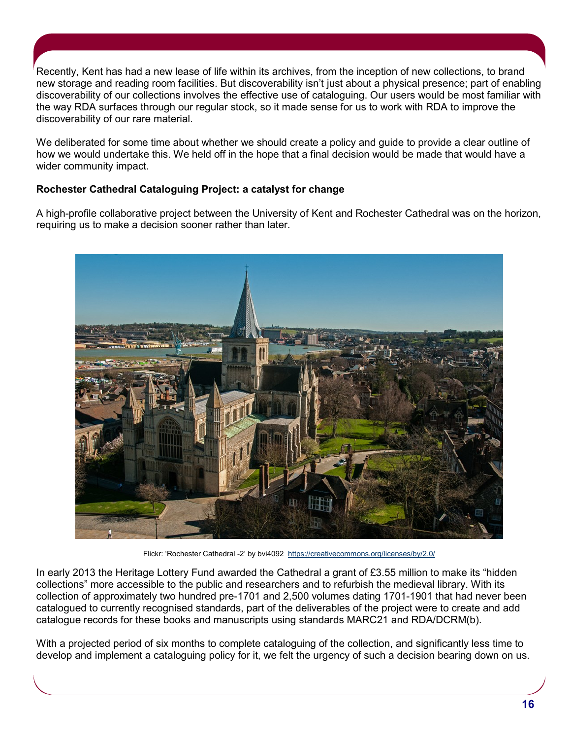Recently, Kent has had a new lease of life within its archives, from the inception of new collections, to brand new storage and reading room facilities. But discoverability isn't just about a physical presence; part of enabling discoverability of our collections involves the effective use of cataloguing. Our users would be most familiar with the way RDA surfaces through our regular stock, so it made sense for us to work with RDA to improve the discoverability of our rare material.

We deliberated for some time about whether we should create a policy and guide to provide a clear outline of how we would undertake this. We held off in the hope that a final decision would be made that would have a wider community impact.

# **Rochester Cathedral Cataloguing Project: a catalyst for change**

A high-profile collaborative project between the University of Kent and Rochester Cathedral was on the horizon, requiring us to make a decision sooner rather than later.



Flickr: 'Rochester Cathedral -2' by bvi4092 <https://creativecommons.org/licenses/by/2.0/>

In early 2013 the Heritage Lottery Fund awarded the Cathedral a grant of £3.55 million to make its "hidden collections" more accessible to the public and researchers and to refurbish the medieval library. With its collection of approximately two hundred pre-1701 and 2,500 volumes dating 1701-1901 that had never been catalogued to currently recognised standards, part of the deliverables of the project were to create and add catalogue records for these books and manuscripts using standards MARC21 and RDA/DCRM(b).

With a projected period of six months to complete cataloguing of the collection, and significantly less time to develop and implement a cataloguing policy for it, we felt the urgency of such a decision bearing down on us.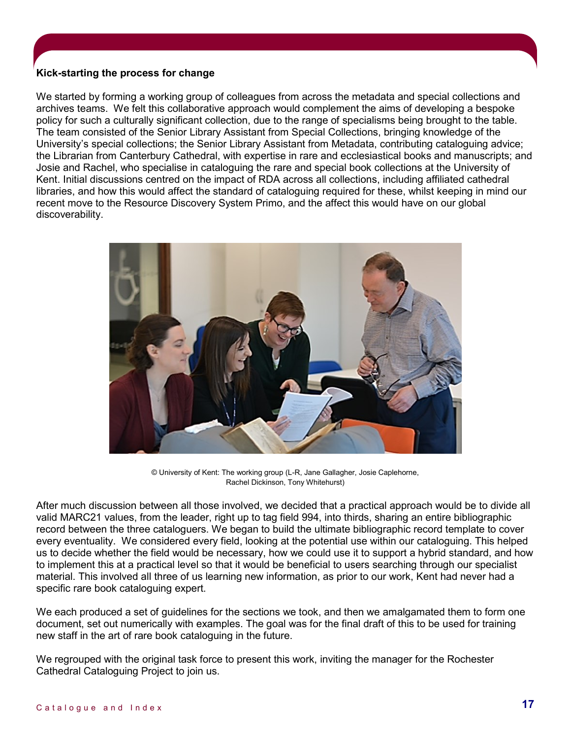# **Kick-starting the process for change**

We started by forming a working group of colleagues from across the metadata and special collections and archives teams. We felt this collaborative approach would complement the aims of developing a bespoke policy for such a culturally significant collection, due to the range of specialisms being brought to the table. The team consisted of the Senior Library Assistant from Special Collections, bringing knowledge of the University's special collections; the Senior Library Assistant from Metadata, contributing cataloguing advice; the Librarian from Canterbury Cathedral, with expertise in rare and ecclesiastical books and manuscripts; and Josie and Rachel, who specialise in cataloguing the rare and special book collections at the University of Kent. Initial discussions centred on the impact of RDA across all collections, including affiliated cathedral libraries, and how this would affect the standard of cataloguing required for these, whilst keeping in mind our recent move to the Resource Discovery System Primo, and the affect this would have on our global discoverability.



© University of Kent: The working group (L-R, Jane Gallagher, Josie Caplehorne, Rachel Dickinson, Tony Whitehurst)

After much discussion between all those involved, we decided that a practical approach would be to divide all valid MARC21 values, from the leader, right up to tag field 994, into thirds, sharing an entire bibliographic record between the three cataloguers. We began to build the ultimate bibliographic record template to cover every eventuality. We considered every field, looking at the potential use within our cataloguing. This helped us to decide whether the field would be necessary, how we could use it to support a hybrid standard, and how to implement this at a practical level so that it would be beneficial to users searching through our specialist material. This involved all three of us learning new information, as prior to our work, Kent had never had a specific rare book cataloguing expert.

We each produced a set of guidelines for the sections we took, and then we amalgamated them to form one document, set out numerically with examples. The goal was for the final draft of this to be used for training new staff in the art of rare book cataloguing in the future.

We regrouped with the original task force to present this work, inviting the manager for the Rochester Cathedral Cataloguing Project to join us.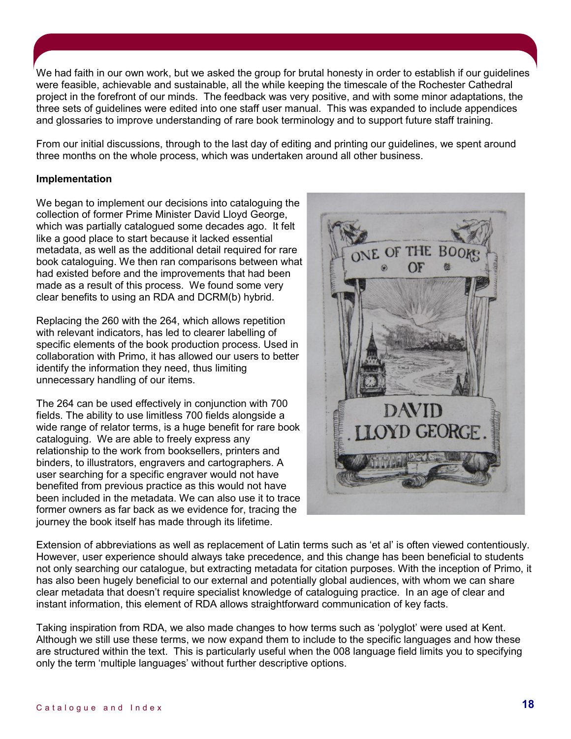We had faith in our own work, but we asked the group for brutal honesty in order to establish if our guidelines were feasible, achievable and sustainable, all the while keeping the timescale of the Rochester Cathedral project in the forefront of our minds. The feedback was very positive, and with some minor adaptations, the three sets of guidelines were edited into one staff user manual. This was expanded to include appendices and glossaries to improve understanding of rare book terminology and to support future staff training.

From our initial discussions, through to the last day of editing and printing our guidelines, we spent around three months on the whole process, which was undertaken around all other business.

## **Implementation**

We began to implement our decisions into cataloguing the collection of former Prime Minister David Lloyd George, which was partially catalogued some decades ago. It felt like a good place to start because it lacked essential metadata, as well as the additional detail required for rare book cataloguing. We then ran comparisons between what had existed before and the improvements that had been made as a result of this process. We found some very clear benefits to using an RDA and DCRM(b) hybrid.

Replacing the 260 with the 264, which allows repetition with relevant indicators, has led to clearer labelling of specific elements of the book production process. Used in collaboration with Primo, it has allowed our users to better identify the information they need, thus limiting unnecessary handling of our items.

The 264 can be used effectively in conjunction with 700 fields. The ability to use limitless 700 fields alongside a wide range of relator terms, is a huge benefit for rare book cataloguing. We are able to freely express any relationship to the work from booksellers, printers and binders, to illustrators, engravers and cartographers. A user searching for a specific engraver would not have benefited from previous practice as this would not have been included in the metadata. We can also use it to trace former owners as far back as we evidence for, tracing the journey the book itself has made through its lifetime.



Extension of abbreviations as well as replacement of Latin terms such as 'et al' is often viewed contentiously. However, user experience should always take precedence, and this change has been beneficial to students not only searching our catalogue, but extracting metadata for citation purposes. With the inception of Primo, it has also been hugely beneficial to our external and potentially global audiences, with whom we can share clear metadata that doesn't require specialist knowledge of cataloguing practice. In an age of clear and instant information, this element of RDA allows straightforward communication of key facts.

Taking inspiration from RDA, we also made changes to how terms such as 'polyglot' were used at Kent. Although we still use these terms, we now expand them to include to the specific languages and how these are structured within the text. This is particularly useful when the 008 language field limits you to specifying only the term 'multiple languages' without further descriptive options.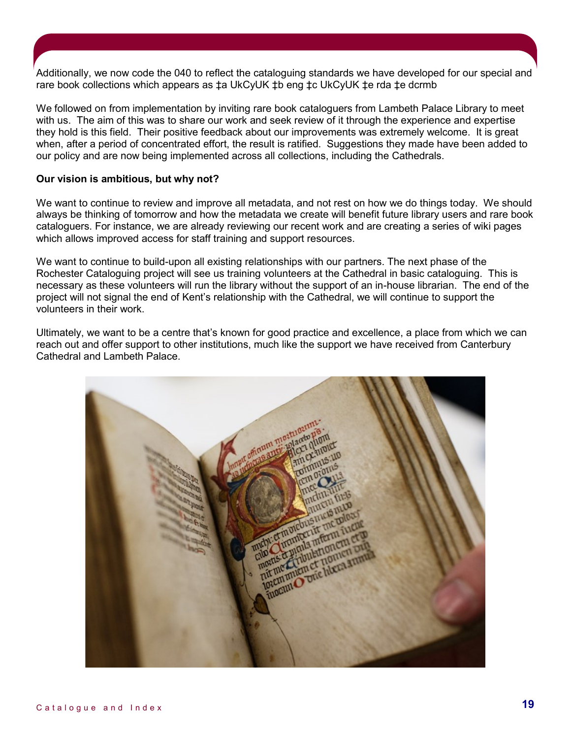Additionally, we now code the 040 to reflect the cataloguing standards we have developed for our special and rare book collections which appears as ‡a UkCyUK ‡b eng ‡c UkCyUK ‡e rda ‡e dcrmb

We followed on from implementation by inviting rare book cataloguers from Lambeth Palace Library to meet with us. The aim of this was to share our work and seek review of it through the experience and expertise they hold is this field. Their positive feedback about our improvements was extremely welcome. It is great when, after a period of concentrated effort, the result is ratified. Suggestions they made have been added to our policy and are now being implemented across all collections, including the Cathedrals.

## **Our vision is ambitious, but why not?**

We want to continue to review and improve all metadata, and not rest on how we do things today. We should always be thinking of tomorrow and how the metadata we create will benefit future library users and rare book cataloguers. For instance, we are already reviewing our recent work and are creating a series of wiki pages which allows improved access for staff training and support resources.

We want to continue to build-upon all existing relationships with our partners. The next phase of the Rochester Cataloguing project will see us training volunteers at the Cathedral in basic cataloguing. This is necessary as these volunteers will run the library without the support of an in-house librarian. The end of the project will not signal the end of Kent's relationship with the Cathedral, we will continue to support the volunteers in their work.

Ultimately, we want to be a centre that's known for good practice and excellence, a place from which we can reach out and offer support to other institutions, much like the support we have received from Canterbury Cathedral and Lambeth Palace.